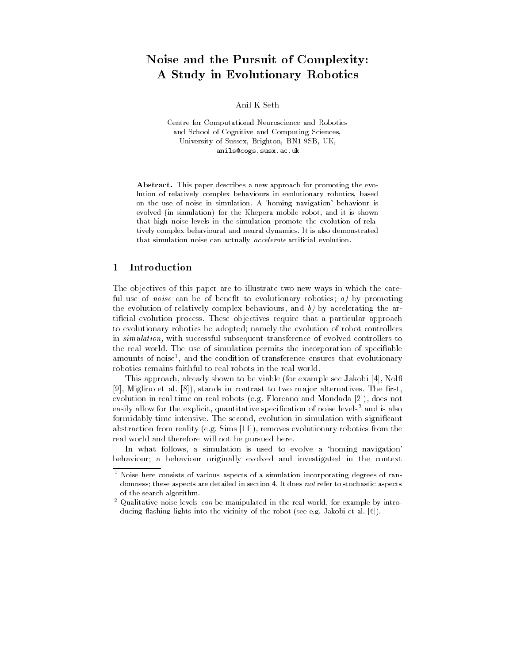# Noise and the Pursuit of Complexity A Study in Evolutionary Robotics

Anil K Seth

Centre for Computational Neuroscience and Robotics and School of Cognitive and Computing Sciences University of Sussex Brighton Barbara and Sussex Brighton Barbara and Sussex Brighton Barbara and Sussex Brighton B anils@cogs.susx.ac.uk

Abstract. This paper describes a new approach for promoting the evolution of relatively complex behaviours in evolutionary robotics, based on the use of noise in simulation. A 'homing navigation' behaviour is evolved (in simulation) for the Khepera mobile robot, and it is shown that high noise levels in the simulation promote the evolution of rela tively complex behavioural and neural dynamics It is also demonstrated that simulation noise can actually *accelerate* artificial evolution.

## Introduction

The objectives of this paper are to illustrate two new ways in which the care ful use of noise can be of benet to evolutionary robotics- a by promoting the evolution of relatively complex behaviours, and  $b$ ) by accelerating the artificial evolution process. These objectives require that a particular approach to evolutionary robotics be adopted- namely the evolution of robot controllers in *simulation*, with successful subsequent transference of evolved controllers to the real world. The use of simulation permits the incorporation of specifiable amounts of noise", and the condition of transference ensures that evolutionary robotics remains faithful to real robots in the real world

This approach, already shown to be viable (for example see Jakobi  $[4]$ , Nolfi is it contrasted in contrast to the requirement in the contrast contrast to the contrast of the results of the evolution in real time on real robots (e.g. Floreano and Mondada  $[2]$ ), does not easily allow for the explicit, quantitative specification of noise levels<sup>2</sup> and is also formidably time intensive The second evolution in simulation with signicant abstraction from reality (e.g.  $Sims [11]$ ), removes evolutionary robotics from the real world and therefore will not be pursued here

In what follows, a simulation is used to evolve a 'homing navigation' behaviour- a behaviour originally evolved and investigated in the context

<sup>-</sup> Noise here consists of various aspects of a simulation incorporating degrees of ranaspects as the detailed in section in section and the section in section is stochastic aspects. It is a spectr of the search algorithm

 $\tilde{\phantom{\phi}}$  Qualitative noise levels *can* be manipulated in the real world, for example by introducing flashing lights into the vicinity of the robot (see e.g. Jakobi et al.  $[6]$ ).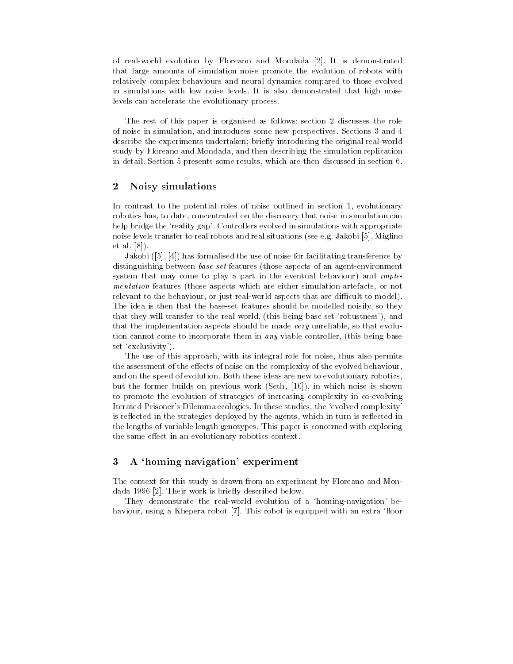of real-world evolution by Floreano and Mondada [2]. It is demonstrated that large amounts of simulation noise promote the evolution of robots with relatively complex behaviours and neural dynamics compared to those evolved in simulations with low noise levels It is also demonstrated that high noise levels can accelerate the evolutionary process

The rest of this paper is organised as follows: section 2 discusses the role of noise in simulation, and introduces some new perspectives. Sections 3 and 4 describe the experiments undertaken- briey introducing the original realworld study by Floreano and Mondada, and then describing the simulation replication in detail. Section 5 presents some results, which are then discussed in section 6.

#### $\overline{2}$ Noisy simulations

In contrast to the potential roles of noise outlined in section 1, evolutionary robotics has, to date, concentrated on the discovery that noise in simulation can help bridge the 'reality gap'. Controllers evolved in simulations with appropriate noise levels transfer to real robots and real situations (see e.g. Jakobi  $[5]$ , Miglino et al. et al. et al. et al. et al. et al. et al. et al. et al. et al. et al. et al. et al. et al. e

Jakobi  $([5], [4])$  has formalised the use of noise for facilitating transference by distinguishing between base set features (those aspects of an agent-environment system that may come to play a part in the eventual behaviour) and  $imple$ mentation features those aspects which are either simulation artefacts or not relevant to the behaviour, or just real-world aspects that are difficult to model). The idea is then that the base-set features should be modelled noisily, so they that they will transfer to the real world, (this being base set 'robustness'), and that the implementation aspects should be made very unreliable, so that evolution cannot come to incorporate them in *any* viable controller, (this being base set 'exclusivity').

The use of this approach, with its integral role for noise, thus also permits the assessment of the effects of noise on the complexity of the evolved behaviour, and on the speed of evolution. Both these ideas are new to evolutionary robotics, but the former builds on previous work (Seth, [10]), in which noise is shown to promote the evolution of strategies of increasing complexity in co-evolving Iterated Prisoner's Dilemma ecologies. In these studies, the 'evolved complexity is reflected in the strategies deployed by the agents, which in turn is reflected in the lengths of variable length genotypes This paper is concerned with exploring the same effect in an evolutionary robotics context.

#### $\bf{3}$ A 'homing navigation' experiment

The context for this study is drawn from an experiment by Floreano and Mon dada 1996 [2]. Their work is briefly described below.

They demonstrate the real-world evolution of a 'homing-navigation' behaviour, using a Khepera robot [7]. This robot is equipped with an extra 'floor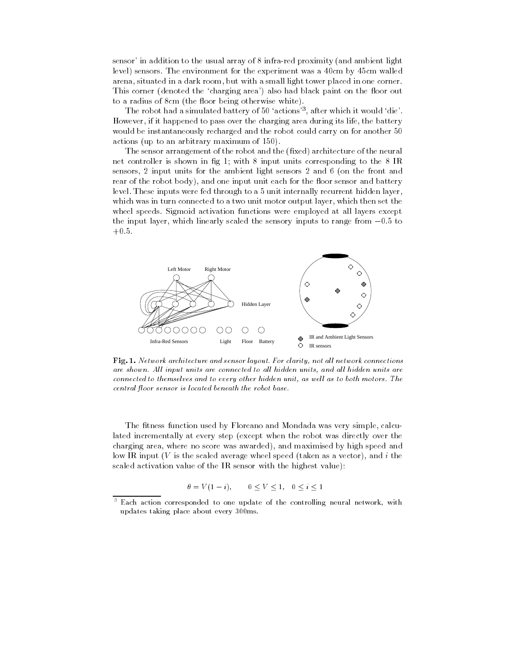sensor in addition to the usual array of infrared proximity and ambient light level) sensors. The environment for the experiment was a  $40cm$  by  $45cm$  walled arena, situated in a dark room, but with a small light tower placed in one corner. This corner (denoted the 'charging area') also had black paint on the floor out to a radius of the other with a radial contract white  $\mathcal{C}$ 

Ine robot had a simulated battery of 50 actions -, after which it would die . However, if it happened to pass over the charging area during its life, the battery would be instantaneously recharged and the robot could carry on for another actions (up to an arbitrary maximum of  $150$ ).

The sensor arrangement of the robot and the (fixed) architecture of the neural net controller is shown in g and the corresponding to the corresponding to the corresponding to the corresponding to the corresponding to the corresponding to the corresponding to the corresponding to the corresponding to sensors,  $2$  input units for the ambient light sensors  $2$  and  $6$  (on the front and rear of the robot body), and one input unit each for the floor sensor and battery level. These inputs were fed through to a  $5$  unit internally recurrent hidden layer, which was in turn connected to a two unit motor output layer, which then set the wheel speeds. Sigmoid activation functions were employed at all layers except the input layer, which linearly scaled the sensory inputs to range from  $-0.5$  to  $+0.5.$ 



Fig. 1. Network architecture and sensor layout. For clarity, not all network connections are shown. All input units are connected to all hidden units, and all hidden units are connected to themselves and to every other hidden unit, as well as to both motors. The central -oor sensor is located beneath the robot base

The fitness function used by Floreano and Mondada was very simple, calculated incrementally at every step (except when the robot was directly over the charging area, where no score was awarded), and maximised by high speed and low IR input (V is the scaled average wheel speed (taken as a vector), and i the scaled activation value of the IR sensor with the highest value):

$$
\theta = V(1 - i), \qquad 0 \le V \le 1, \quad 0 \le i \le 1
$$

Each action corresponded to one update of the controlling neural network with updates taking place about every 300ms.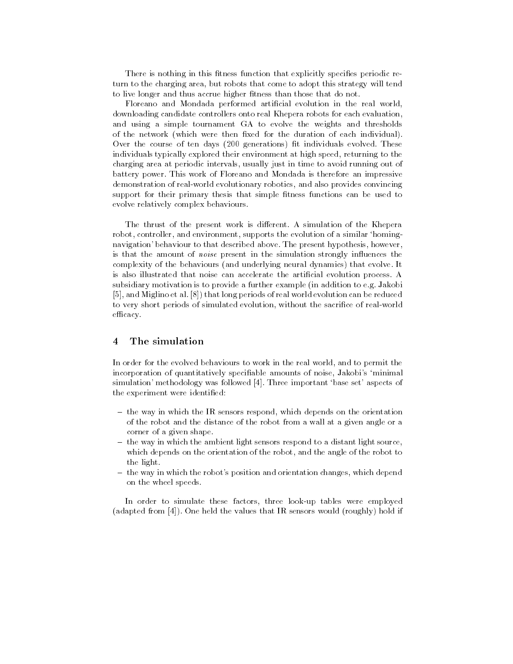There is nothing in this fitness function that explicitly specifies periodic return to the charging area but robots that come to adopt this strategy will tend to live longer and thus accrue higher fitness than those that do not.

Floreano and Mondada performed artificial evolution in the real world, downloading candidate controllers onto real Khepera robots for each evaluation and using a simple tournament GA to evolve the weights and thresholds of the network (which were then fixed for the duration of each individual). Over the course of ten days  $(200)$  generations) fit individuals evolved. These individuals typically explored their environment at high speed returning to the charging area at periodic intervals, usually just in time to avoid running out of battery power. This work of Floreano and Mondada is therefore an impressive demonstration of real-world evolutionary robotics, and also provides convincing support for their primary thesis that simple fitness functions can be used to evolve relatively complex behaviours

The thrust of the present work is different. A simulation of the Khepera robot, controller, and environment, supports the evolution of a similar 'homingnavigation' behaviour to that described above. The present hypothesis, however, is that the amount of noise present in the simulation strongly influences the complexity of the behaviours (and underlying neural dynamics) that evolve. It is also illustrated that noise can accelerate the articial evolution process A subsidiary motivation is to provide a further example (in addition to e.g. Jakobi and Miglino et al  $\mathcal{M}$  and world evolution can be reduced by reduced by reduced by reduced by reduced by reduced by reduced by reduced by reduced by reduced by reduced by reduced by reduced by reduced by reduced by re to very short periods of simulated evolution, without the sacrifice of real-world efficacy.

#### The simulation  $\overline{\mathbf{4}}$

In order for the evolved behaviours to work in the real world, and to permit the incorporation of quantitatively specifiable amounts of noise, Jakobi's 'minimal simulation' methodology was followed [4]. Three important 'base set' aspects of the experiment were identified:

- $-$  the way in which the IR sensors respond, which depends on the orientation of the robot and the distance of the robot from a wall at a given angle or a corner of a given shape
- $-$  the way in which the ambient light sensors respond to a distant light source, which depends on the orientation of the robot, and the angle of the robot to the light
- $-$  the way in which the robot's position and orientation changes, which depend on the wheel speeds

In order to simulate these factors, three look-up tables were employed (adapted from  $[4]$ ). One held the values that IR sensors would (roughly) hold if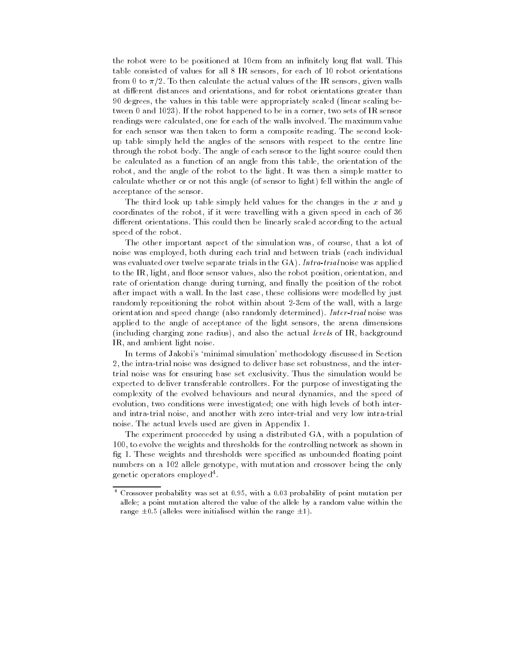the robot were to be positioned at  $10 \text{cm}$  from an infinitely long flat wall. This table consisted of values for all IR sensors for each of 
robot orientations  $f_{\rm eff}$  to  $f_{\rm eff}$  to  $f_{\rm eff}$  actual values of the IR sensors given walls given walls given walls given walls given walls given walls given walls given walls given walls given walls given walls given walls given walls at different distances and orientations, and for robot orientations greater than 90 degrees, the values in this table were appropriately scaled (linear scaling between 0 and 1023). If the robot happened to be in a corner, two sets of IR sensor readings were calculated, one for each of the walls involved. The maximum value for each sensor was then taken to form a composite reading. The second lookup table simply held the angles of the sensors with respect to the centre line through the robot body. The angle of each sensor to the light source could then be calculated as a function of an angle from this table, the orientation of the robot, and the angle of the robot to the light. It was then a simple matter to calculate whether or or not this angle (of sensor to light) fell within the angle of acceptance of the sensor

The third look up table simply held values for the changes in the  $x$  and  $y$ coordinates of the robot, if it were travelling with a given speed in each of 36 different orientations. This could then be linearly scaled according to the actual speed of the robot

The other important aspect of the simulation was, of course, that a lot of noise was employed, both during each trial and between trials (each individual was evaluated over the replacate trials in the GA Intra-above trials have applied. to the IR, light, and floor sensor values, also the robot position, orientation, and rate of orientation change during turning, and finally the position of the robot after impact with a wall. In the last case, these collisions were modelled by just randomly repositioning the robot within about  $2\text{-}3$ cm of the wall, with a large orientation and speed change also randomly determined Inter-trial noise was applied to the angle of acceptance of the light sensors, the arena dimensions (including charging zone radius), and also the actual levels of IR, background IR and ambient light noise

In terms of Jakobi's 'minimal simulation' methodology discussed in Section 2, the intra-trial noise was designed to deliver base set robustness, and the intertrial noise was for ensuring base set exclusivity Thus the simulation would be expected to deliver transferable controllers For the purpose of investigating the complexity of the evolved behaviours and neural dynamics and the speed of evolution, with the military with the contragence of and military with the both interest and intra-trial noise, and another with zero inter-trial and very low intra-trial noise. The actual levels used are given in Appendix 1.

The experiment proceeded by using a distributed GA with a population of 100, to evolve the weights and thresholds for the controlling network as shown in fig 1. These weights and thresholds were specified as unbounded floating point numbers on a 102 allele genotype, with mutation and crossover being the only genetic operators employed

 $^\circ$  Crossover probability was set at 0.95, with a 0.03 probability of point mutation per allele a point mutation altered the value of the allele by a random value within the range - - initialise were formation with the range - - in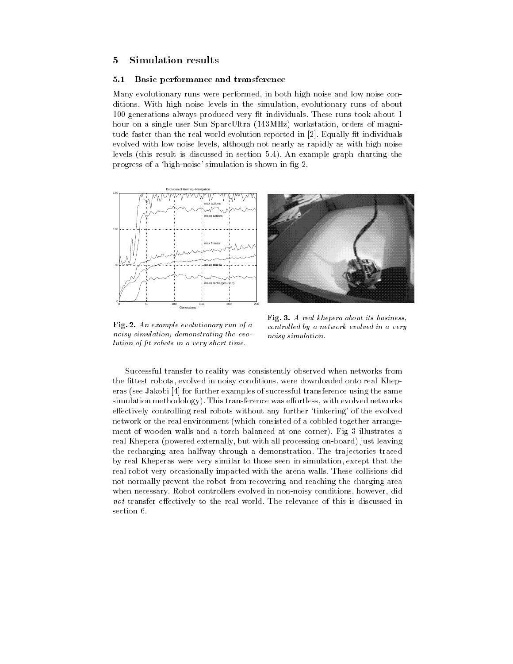## 5 Simulation results

#### 5.1 Basic performance and transference

Many evolutionary runs were performed, in both high noise and low noise conditions With high noise levels in the simulation evolutionary runs of about 100 generations always produced very fit individuals. These runs took about 1 hour on a single user Sun SparcUltra (143MHz) workstation, orders of magnitude faster than the real world evolution reported in [2]. Equally fit individuals evolved with low noise levels although not nearly as rapidly as with high noise levels (this result is discussed in section  $5.4$ ). An example graph charting the progress of a 'high-noise' simulation is shown in fig  $2$ .



= - An example example evolutionary run of a noisy simulation, demonstrating the evo $lution of fit robots in a very short time.$ 



Fig. 3. A real khepera about its business, controlled by a network evolved in a very noisy simulation

Successful transfer to reality was consistently observed when networks from the fittest robots, evolved in noisy conditions, were downloaded onto real Kheperas (see Jakobi [4] for further examples of successful transference using the same simulation methodology). This transference was effortless, with evolved networks effectively controlling real robots without any further 'tinkering' of the evolved network or the real environment (which consisted of a cobbled together arrangement of wooden walls and a torch balanced at one corner). Fig 3 illustrates a real Khepera (powered externally, but with all processing on-board) just leaving the recharging area halfway through a demonstration The trajectories traced by real Kheperas were very similar to those seen in simulation, except that the real robot very occasionally impacted with the arena walls These collisions did not normally prevent the robot from recovering and reaching the charging area when necessary. Robot controllers evolved in non-noisy conditions, however, did not transfer eectively to the real world The relevance of this is discussed in section 6.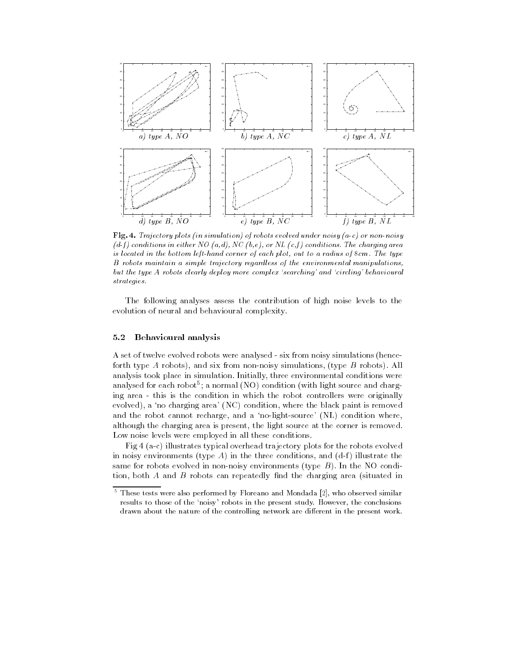

Fig. 4. Trajectory plots (in simulation) of robots evolved under noisy (a-c) or non-noisy  $(d-f)$  conditions in either NO  $(a,d)$ , NC  $(b,e)$ , or NL  $(c,f)$  conditions. The charging area is located in the bottom left-hand corner of each plot, out to a radius of 8cm. The type B robots maintain a simple trajectory regard less of the environmental manipulations but the type  $A$  robots clearly deploy more complex 'searching' and 'circling' behavioural strategies

The following analyses assess the contribution of high noise levels to the evolution of neural and behavioural complexity

#### 5.2 Behavioural analysis

A set of twelve evolved robots were analysed - six from noisy simulations (henceforth type A robots), and six from non-noisy simulations, (type  $B$  robots). All analysis took place in simulation. Initially, three environmental conditions were analysed for each robot ; a normal (IVO) condition (with light source and charg-  $\,$ ing area this is the condition in which the robot controllers were originally evolved), a 'no charging area' (NC) condition, where the black paint is removed and the robot cannot recharge, and a 'no-light-source' (NL) condition where, although the charging area is present, the light source at the corner is removed. Low noise levels were employed in all these conditions.

Fig (a-c) illustrates typical overhead trajectory plots for the robots evolved in noisy environments (type A) in the three conditions, and  $(d-f)$  illustrate the same for robots evolved in non-noisy environments (type  $B$ ). In the NO condition, both  $A$  and  $B$  robots can repeatedly find the charging area (situated in

 $^\circ$  These tests were also performed by Floreano and Mondada [2], who observed similar results to those of the 'noisy' robots in the present study. However, the conclusions drawn about the nature of the controlling network are different in the present work.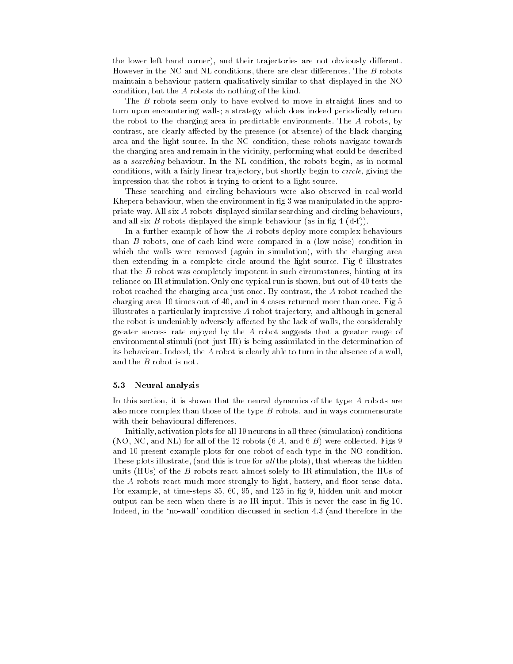the lower left hand corner), and their trajectories are not obviously different. However in the NC and NL conditions, there are clear differences. The  $B$  robots maintain a behaviour pattern qualitatively similar to that displayed in the NO condition, but the  $A$  robots do nothing of the kind.

The B robots seem only to have evolved to move in straight lines and to turn upon encountering walls- a strategy which does indeed periodically return the robot to the charging area in predictable environments. The  $A$  robots, by contrast, are clearly affected by the presence (or absence) of the black charging area and the light source. In the NC condition, these robots navigate towards the charging area and remain in the vicinity, performing what could be described as a *searching* behaviour. In the NL condition, the robots begin, as in normal conditions, with a fairly linear trajectory, but shortly begin to *circle*, giving the impression that the robot is trying to orient to a light source

These searching and circling behaviours were also observed in real-world Khepera behaviour, when the environment in fig 3 was manipulated in the appropriate way All six A robots displayed similar searching and circling behaviours and all six B robots displayed the simple behaviour (as in fig  $4(d-f)$ ).

In a further example of how the A robots deploy more complex behaviours than  $B$  robots, one of each kind were compared in a (low noise) condition in which the walls were removed (again in simulation), with the charging area then extending in a complete circle around the light source. Fig 6 illustrates that the  $B$  robot was completely impotent in such circumstances, hinting at its reliance on IR stimulation. Only one typical run is shown, but out of 40 tests the robot reached the charging area just once. By contrast, the A robot reached the charging area 10 times out of  $40$ , and in 4 cases returned more than once. Fig 5 illustrates a particularly impressive A robot trajectory and although in general the robot is undeniably adversely affected by the lack of walls, the considerably greater success rate enjoyed by the A robot suggests that a greater range of environmental stimuli (not just  $IR$ ) is being assimilated in the determination of its behaviour. Indeed, the  $A$  robot is clearly able to turn in the absence of a wall, and the  $B$  robot is not.

#### 5.3 Neural analysis

In this section, it is shown that the neural dynamics of the type  $A$  robots are also more complex than those of the type  $B$  robots, and in ways commensurate with their behavioural differences.

Initially, activation plots for all 19 neurons in all three (simulation) conditions (NO, NC, and NL) for all of the 12 robots  $(6 \ A, \text{ and } 6 \ B)$  were collected. Figs 9 and 10 present example plots for one robot of each type in the NO condition. These plots illustrate, (and this is true for all the plots), that whereas the hidden units  $(HUs)$  of the B robots react almost solely to IR stimulation, the HUs of the  $A$  robots react much more strongly to light, battery, and floor sense data. For example, at time-steps 35, 60, 95, and 125 in fig 9, hidden unit and motor output can be seen when there is no IR input. This is never the case in fig 10. Indeed, in the 'no-wall' condition discussed in section  $4.3$  (and therefore in the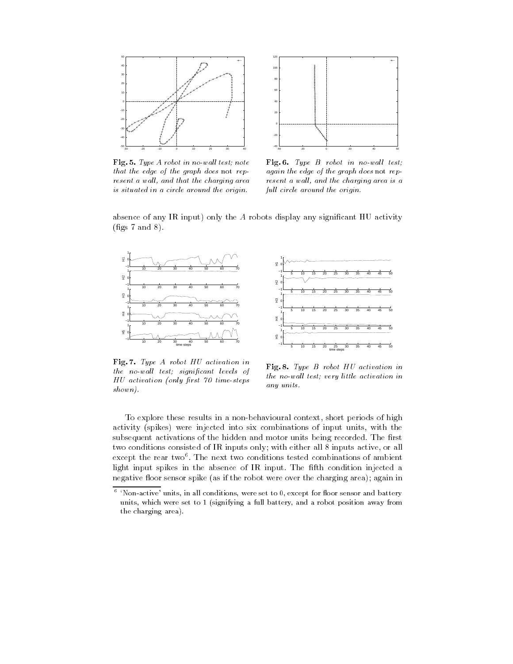

Fig. 5. Type  $A$  robot in no-wall test; note that the edge of the graph does not rep resent a wall, and that the charging area is situated in a circle around the origin



Fig. 6. Type  $B$  robot in no-wall test; again the edge of the graph does not rep resent a wall, and the charging area is a full circle around the origin.

absence of any IR input) only the  $A$  robots display any significant HU activity  $\mathbf{q}$  and  $\mathbf{q}$  and  $\mathbf{q}$  and  $\mathbf{q}$  and  $\mathbf{q}$  and  $\mathbf{q}$  and  $\mathbf{q}$  and  $\mathbf{q}$  and  $\mathbf{q}$  and  $\mathbf{q}$  and  $\mathbf{q}$  and  $\mathbf{q}$  and  $\mathbf{q}$  and  $\mathbf{q}$  and  $\mathbf{q}$  and  $\mathbf{q}$  and  $\mathbf{q}$  and



Fig. 7. Type  $A$  robot  $HU$  activation in the no-wall test; significant levels of HU activation only rst timesteps  $shown$ ).



Fig. 8. Type B robot HU activation in the no-wall test; very little activation in any units

To explore these results in a non-behavioural context, short periods of high activity (spikes) were injected into six combinations of input units, with the subsequent activations of the hidden and motor units being recorded. The first two conditions consisted of IR inputs only- with either all inputs active or all except the rear two . The next two conditions tested combinations of ambient  $\,$ light input spikes in the absence of IR input. The fifth condition injected a negative oor sensor spike as if the robot were over the charging areas; again in

 $^\circ$  -Non-active units, in all conditions, were set to 0, except for floor sensor and battery units, which were set to 1 (signifying a full battery, and a robot position away from the charging area).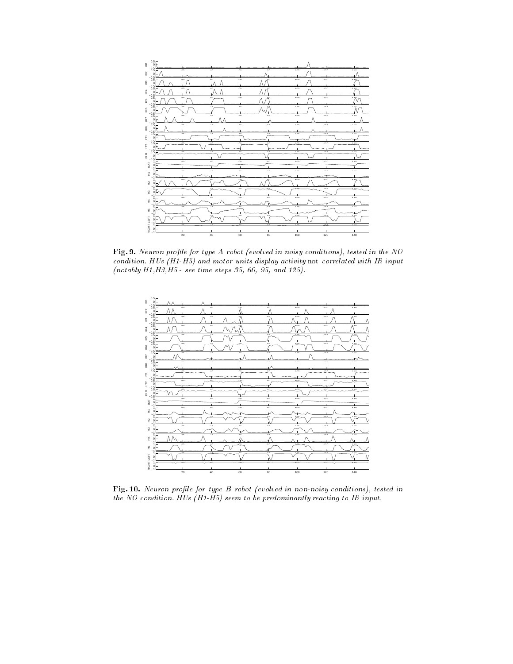

Fig. 9. Neuron profile for type  $A$  robot (evolved in noisy conditions), tested in the NO condition. HUs (H1-H5) and motor units display activity not correlated with IR input  $(notably H1, H3, H5 - see time steps 35, 60, 95, and 125).$ 



Fig Neuron prole for type B robot evolved in nonnoisy conditions tested in the NO condition. HUs (H1-H5) seem to be predominantly reacting to IR input.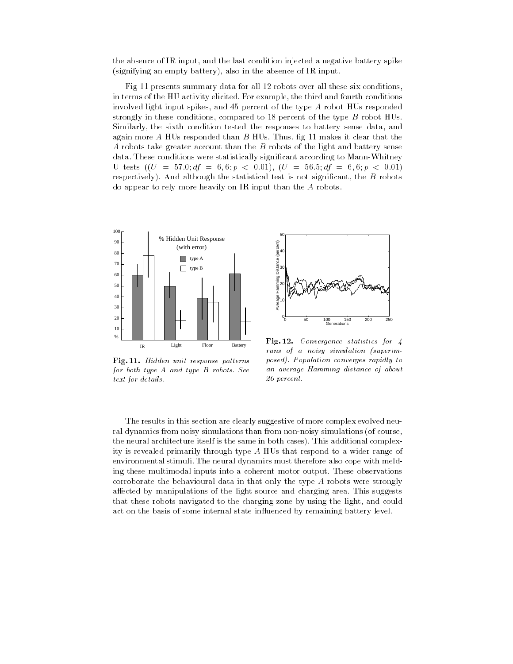the absence of IR input and the last condition injected a negative battery spike  $(signifying an empty battery)$ , also in the absence of IR input.

Fig 11 presents summary data for all 12 robots over all these six conditions, in terms of the HU activity elicited. For example, the third and fourth conditions involved light input spikes, and  $45$  percent of the type  $\tilde{A}$  robot HUs responded strongly in these conditions compared to percent of the type B robot HUs Similarly, the sixth condition tested the responses to battery sense data, and again more  $A$  HUs responded than  $B$  HUs. Thus, fig 11 makes it clear that the A robots take greater account than the  $B$  robots of the light and battery sense data. These conditions were statistically significant according to Mann-Whitney U tests U - df - p U - df - p respectively). And although the statistical test is not significant, the  $B$  robots do appear to rely more heavily on IR input than the A robots



Fig. 11. Hidden unit response patterns for both type  $A$  and type  $B$  robots. See text for details



Fig - Convergence statistics for runs of a noisy simulation (superimposed). Population converges rapidly to an average Hamming distance of about 20 percent.

The results in this section are clearly suggestive of more complex evolved neu ral dynamics from noisy simulations than from non-noisy simulations (of course, the neural architecture itself is the same in both cases). This additional complexity is revealed primarily through type A HUs that respond to a wider range of environmental stimuli. The neural dynamics must therefore also cope with melding these multimodal inputs into a coherent motor output. These observations corroborate the behavioural data in that only the type A robots were strongly affected by manipulations of the light source and charging area. This suggests that these robots navigated to the charging zone by using the light, and could act on the basis of some internal state influenced by remaining battery level.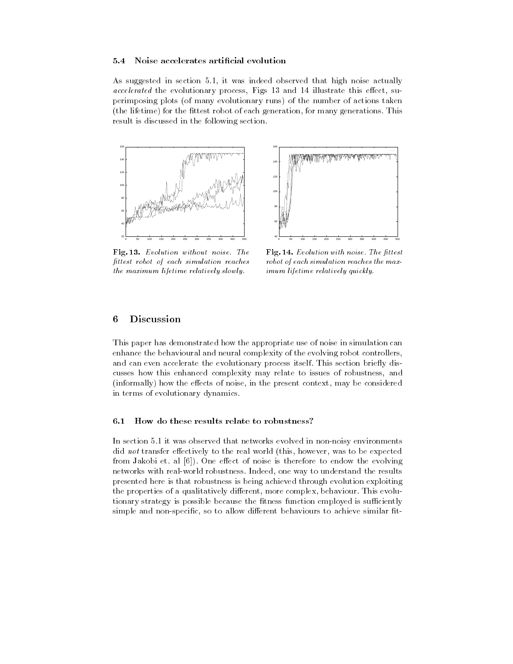#### 5.4 Noise accelerates artificial evolution

As suggested in section 5.1, it was indeed observed that high noise actually accelerated the evolutions process, figs to which it indicated this except subperimposing plots (of many evolutionary runs) of the number of actions taken (the lifetime) for the fittest robot of each generation, for many generations. This result is discussed in the following section



Fig. 13. Evolution without noise. The fittest robot of each simulation reaches the maximum lifetime relatively slowly.



Fig. 14. Evolution with noise. The fittest robot of each simulation reaches the max imum lifetime relatively quickly

#### Discussion  $6\phantom{1}6$

This paper has demonstrated how the appropriate use of noise in simulation can enhance the behavioural and neural complexity of the evolving robot controllers and can even accelerate the evolutionary process itself. This section briefly discusses how this enhanced complexity may relate to issues of robustness, and (informally) how the effects of noise, in the present context, may be considered in terms of evolutionary dynamics

#### 6.1 How do these results relate to robustness?

In section 5.1 it was observed that networks evolved in non-noisy environments did not transfer effectively to the real world (this, however, was to be expected from Jakobi et. al  $[6]$ ). One effect of noise is therefore to endow the evolving networks with real-world robustness. Indeed, one way to understand the results presented here is that robustness is being achieved through evolution exploiting the properties of a qualitatively different, more complex, behaviour. This evolutionary strategy is possible because the fitness function employed is sufficiently simple and non-specific, so to allow different behaviours to achieve similar fit-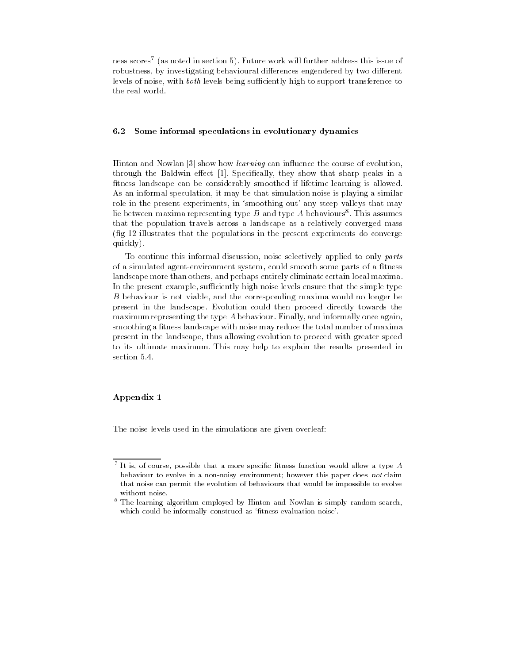ness scores - (as noted in section 5). Future work will further address this issue of robustness, by investigating behavioural differences engendered by two different levels of noise, with *both* levels being sufficiently high to support transference to the real world.

#### Some informal speculations in evolutionary dynamics  $6.2$

Hinton and Nowlan  $\left[3\right]$  show how *learning* can influence the course of evolution, through the Baldwin effect [1]. Specifically, they show that sharp peaks in a fitness landscape can be considerably smoothed if lifetime learning is allowed. As an informal speculation, it may be that simulation noise is playing a similar role in the present experiments, in 'smoothing out' any steep valleys that may lie between maxima representing type B and type A behaviours This assumes that the population travels across a landscape as a relatively converged mass (fig 12 illustrates that the populations in the present experiments do converge quickly).

To continue this informal discussion, noise selectively applied to only *parts* of a simulated agent-environment system, could smooth some parts of a fitness landscape more than others, and perhaps entirely eliminate certain local maxima. In the present example, sufficiently high noise levels ensure that the simple type  $B$  behaviour is not viable, and the corresponding maxima would no longer be present in the landscape Evolution could then proceed directly towards the maximum representing the type  $A$  behaviour. Finally, and informally once again, smoothing a fitness landscape with noise may reduce the total number of maxima present in the landscape, thus allowing evolution to proceed with greater speed to its ultimate maximum This may help to explain the results presented in

### Appendix

The noise levels used in the simulations are given overleaf:

It is, of course, possible that a more specific fitness function would allow a type  $A$ behaviour to evolve in a nonnoisy environment however this paper does not claim that noise can permit the evolution of behaviours that would be impossible to evolve without noise

 $^\circ$  The learning algorithm employed by Hinton and Nowlan is simply random search,  $^\circ$ which could be informally construed as 'fitness evaluation noise'.